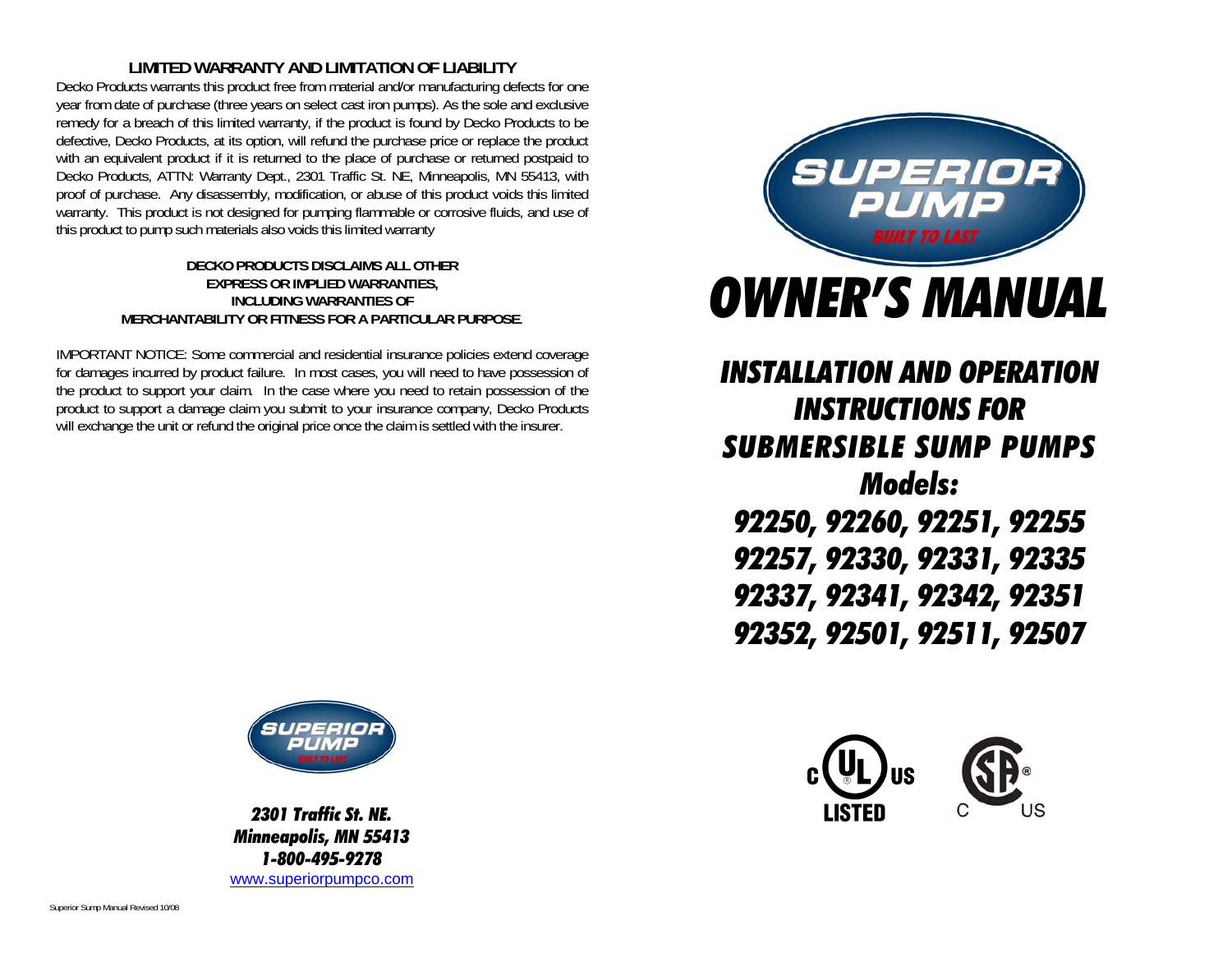### **LIMITED WARRANTY AND LIMITATION OF LIABILITY**

Decko Products warrants this product free from material and/or manufacturing defects for one year from date of purchase (three years on select cast iron pumps). As the sole and exclusive remedy for a breach of this limited warranty, if the product is found by Decko Products to be defective, Decko Products, at its option, will refund the purchase price or replace the product with an equivalent product if it is returned to the place of purchase or returned postpaid to Decko Products, ATTN: Warranty Dept., 2301 Traffic St. NE, Minneapolis, MN 55413, with proof of purchase. Any disassembly, modification, or abuse of this product voids this limited warranty. This product is not designed for pumping flammable or corrosive fluids, and use of this product to pump such materials also voids this limited warranty

#### **DECKO PRODUCTS DISCLAIMS ALL OTHER EXPRESS OR IMPLIED WARRANTIES, INCLUDING WARRANTIES OF MERCHANTABILITY OR FITNESS FOR A PARTICULAR PURPOSE**.

IMPORTANT NOTICE: Some commercial and residential insurance policies extend coverage for damages incurred by product failure. In most cases, you will need to have possession of the product to support your claim. In the case where you need to retain possession of the product to support a damage claim you submit to your insurance company, Decko Products will exchange the unit or refund the original price once the claim is settled with the insurer.



*INSTALLATION AND OPERATION INSTRUCTIONS FOR SUBMERSIBLE SUMP PUMPS Models: 92250, 92260, 92251, 92255 92257, 92330, 92331, 92335 92337, 92341, 92342, 92351 92352, 92501, 92511, 92507* 





*2301 Traffic St. NE. Minneapolis, MN 55413 1-800-495-9278* www.superiorpumpco.com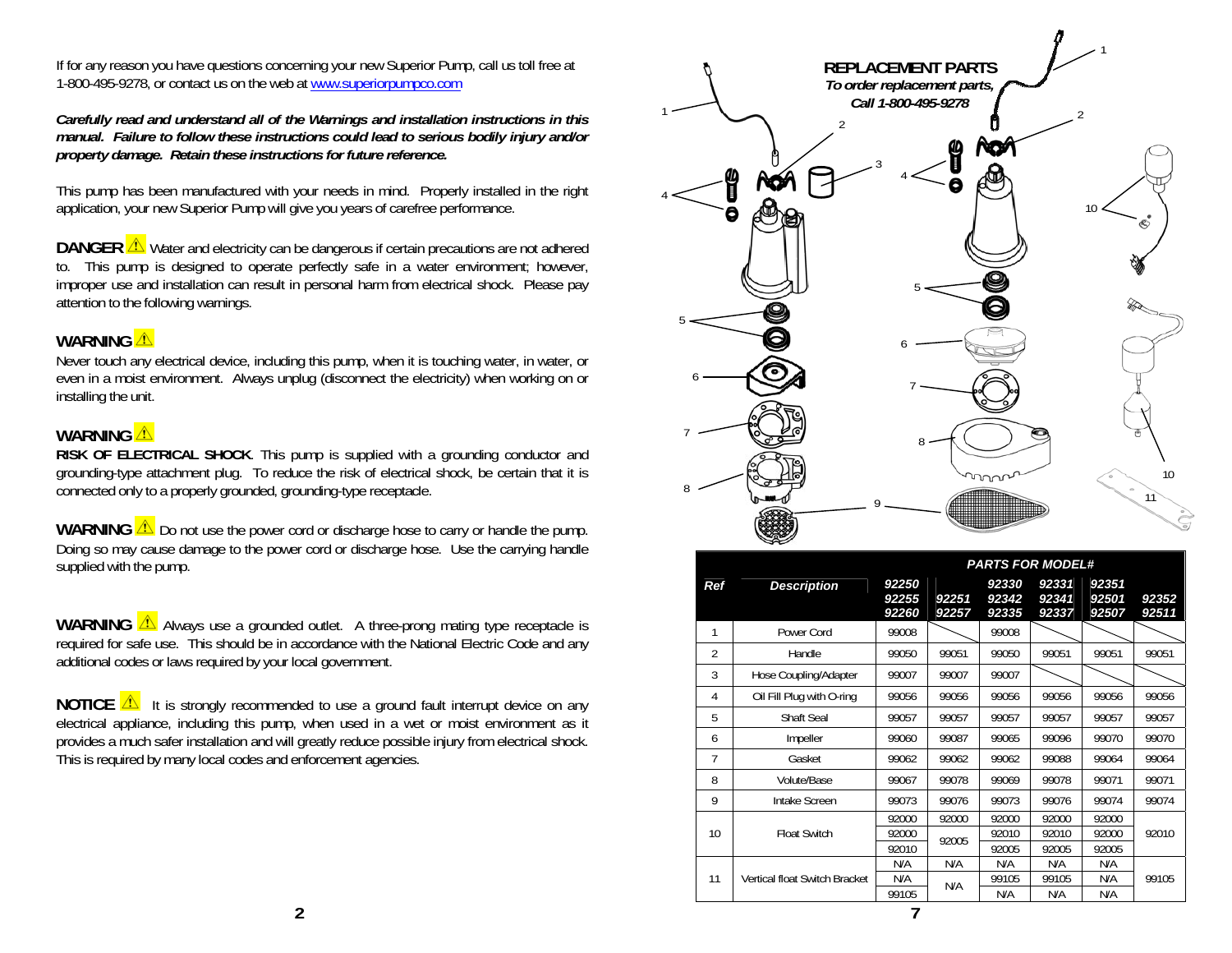If for any reason you have questions concerning your new Superior Pump, call us toll free at 1-800-495-9278, or contact us on the web at www.superiorpumpco.com

*Carefully read and understand all of the Warnings and installation instructions in this manual. Failure to follow these instructions could lead to serious bodily injury and/or property damage. Retain these instructions for future reference.* 

This pump has been manufactured with your needs in mind. Properly installed in the right application, your new Superior Pump will give you years of carefree performance.

**DANGER**  $\sqrt{1}$  Water and electricity can be dangerous if certain precautions are not adhered to. This pump is designed to operate perfectly safe in a water environment; however, improper use and installation can result in personal harm from electrical shock. Please pay attention to the following warnings.

#### WARNING<sup><sup>1</sup></sup>

 Never touch any electrical device, including this pump, when it is touching water, in water, or even in a moist environment. Always unplug (disconnect the electricity) when working on or installing the unit.

### **WARNING**

 **RISK OF ELECTRICAL SHOCK**. This pump is supplied with a grounding conductor and grounding-type attachment plug. To reduce the risk of electrical shock, be certain that it is connected only to a properly grounded, grounding-type receptacle.

**WARNING**  $\triangle$  Do not use the power cord or discharge hose to carry or handle the pump. Doing so may cause damage to the power cord or discharge hose. Use the carrying handle supplied with the pump.

**WARNING**  $\triangle$  Always use a grounded outlet. A three-prong mating type receptacle is required for safe use. This should be in accordance with the National Electric Code and any additional codes or laws required by your local government.

**NOTICE**  $\sqrt{\Delta}$  it is strongly recommended to use a ground fault interrupt device on any electrical appliance, including this pump, when used in a wet or moist environment as it provides a much safer installation and will greatly reduce possible injury from electrical shock. This is required by many local codes and enforcement agencies.



|                                                                                                                                 |            |                               | <b>PARTS FOR MODEL#</b> |                |                         |                         |                         |                |
|---------------------------------------------------------------------------------------------------------------------------------|------------|-------------------------------|-------------------------|----------------|-------------------------|-------------------------|-------------------------|----------------|
|                                                                                                                                 | <b>Ref</b> | <b>Description</b>            | 92250<br>92255<br>92260 | 92251<br>92257 | 92330<br>92342<br>92335 | 92331<br>92341<br>92337 | 92351<br>92501<br>92507 | 92352<br>92511 |
| d outlet. A three-prong mating type receptacle is                                                                               |            | Power Cord                    | 99008                   |                | 99008                   |                         |                         |                |
| ccordance with the National Electric Code and any<br>ocal government.                                                           | 2          | Handle                        | 99050                   | 99051          | 99050                   | 99051                   | 99051                   | 99051          |
|                                                                                                                                 | 3          | Hose Coupling/Adapter         | 99007                   | 99007          | 99007                   |                         |                         |                |
| led to use a ground fault interrupt device on any                                                                               | 4          | Oil Fill Plug with O-ring     | 99056                   | 99056          | 99056                   | 99056                   | 99056                   | 99056          |
| when used in a wet or moist environment as it<br>greatly reduce possible injury from electrical shock.<br>inforcement agencies. | 5          | <b>Shaft Seal</b>             | 99057                   | 99057          | 99057                   | 99057                   | 99057                   | 99057          |
|                                                                                                                                 | 6          | Impeller                      | 99060                   | 99087          | 99065                   | 99096                   | 99070                   | 99070          |
|                                                                                                                                 |            | Gasket                        | 99062                   | 99062          | 99062                   | 99088                   | 99064                   | 99064          |
|                                                                                                                                 | 8          | Volute/Base                   | 99067                   | 99078          | 99069                   | 99078                   | 99071                   | 99071          |
|                                                                                                                                 | 9          | Intake Screen                 | 99073                   | 99076          | 99073                   | 99076                   | 99074                   | 99074          |
|                                                                                                                                 |            |                               | 92000                   | 92000          | 92000                   | 92000                   | 92000                   |                |
|                                                                                                                                 | 10         | <b>Float Switch</b>           | 92000                   | 92005          | 92010                   | 92010                   | 92000                   | 92010          |
|                                                                                                                                 |            |                               | 92010                   |                | 92005                   | 92005                   | 92005                   |                |
|                                                                                                                                 |            |                               | N/A                     | N/A<br>N/A     | N/A                     | N/A                     | N/A                     | 99105          |
|                                                                                                                                 | 11         | Vertical float Switch Bracket | N/A<br>99105            |                | 99105<br>N/A            | 99105<br>N/A            | N/A<br>N/A              |                |
|                                                                                                                                 |            |                               |                         |                |                         |                         |                         |                |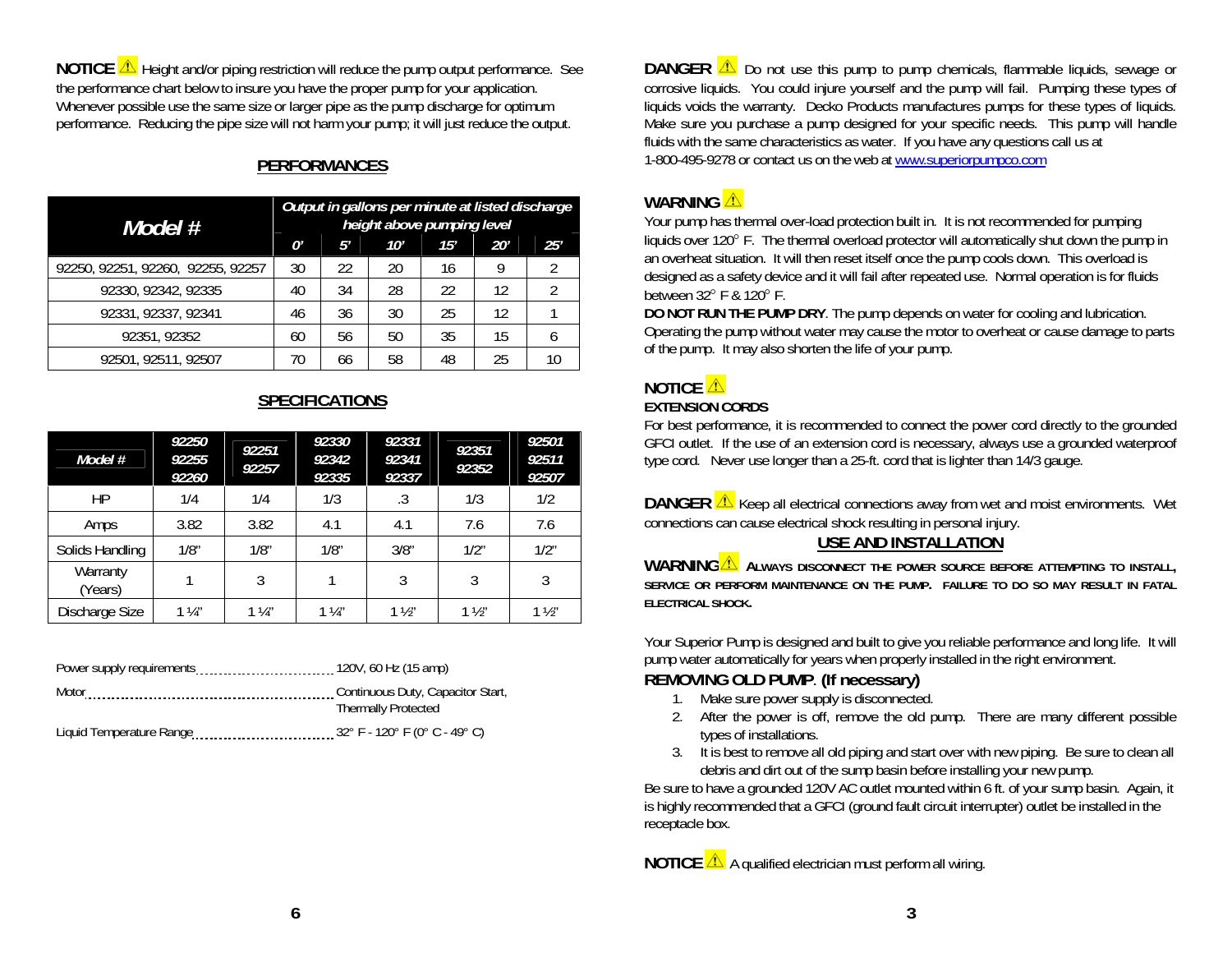**NOTICE A** Height and/or piping restriction will reduce the pump output performance. See the performance chart below to insure you have the proper pump for your application. Whenever possible use the same size or larger pipe as the pump discharge for optimum performance. Reducing the pipe size will not harm your pump; it will just reduce the output.

## **PERFORMANCES**

| Model #                           | Output in gallons per minute at listed discharge<br>height above pumping level |    |     |     |     |     |
|-----------------------------------|--------------------------------------------------------------------------------|----|-----|-----|-----|-----|
|                                   | N'                                                                             | 5′ | 10' | 15' | 20' | 25' |
| 92250, 92251, 92260, 92255, 92257 | 30                                                                             | 22 | 20  | 16  |     |     |
| 92330, 92342, 92335               | 40                                                                             | 34 | 28  | 22  | 12  |     |
| 92331, 92337, 92341               | 46                                                                             | 36 | 30  | 25  | 12  |     |
| 92351, 92352                      | 60                                                                             | 56 | 50  | 35  | 15  |     |
| 92501, 92511, 92507               | 70                                                                             | 66 | 58  | 48  | 25  |     |

## **SPECIFICATIONS**

| Model #             | 92250<br>92255<br>92260 | 92251<br>92257 | 92330<br>92342<br>92335 | 92331<br>92341<br>92337 | 92351<br>92352 | 92501<br>92511<br>92507 |
|---------------------|-------------------------|----------------|-------------------------|-------------------------|----------------|-------------------------|
| HP                  | 1/4                     | 1/4            | 1/3                     | .3                      | 1/3            | 1/2                     |
| Amps                | 3.82                    | 3.82           | 4.1                     | 4.1                     | 7.6            | 7.6                     |
| Solids Handling     | 1/8"                    | 1/8"           | 1/8"                    | 3/8"                    | 1/2"           | 1/2"                    |
| Warranty<br>(Years) |                         | 3              |                         | 3                       | 3              | 3                       |
| Discharge Size      | $1\frac{1}{4}$          | $1\frac{1}{4}$ | $1\frac{1}{4}$          | $1\frac{1}{2}$          | $1\frac{1}{2}$ | $1\frac{1}{2}$          |

| Power supply requirements | 120V, 60 Hz (15 amp)              |  |  |
|---------------------------|-----------------------------------|--|--|
| Motor                     | Continuous Duty, Capacitor Start, |  |  |
|                           | <b>Thermally Protected</b>        |  |  |
| Liquid Temperature Range  | 32° F - 120° F (0° C - 49° C)     |  |  |

**DANGER 2** Do not use this pump to pump chemicals, flammable liquids, sewage or corrosive liquids. You could injure yourself and the pump will fail. Pumping these types of liquids voids the warranty. Decko Products manufactures pumps for these types of liquids. Make sure you purchase a pump designed for your specific needs. This pump will handle fluids with the same characteristics as water. If you have any questions call us at 1-800-495-9278 or contact us on the web at www.superiorpumpco.com

## **WARNING**

Your pump has thermal over-load protection built in. It is not recommended for pumping liquids over 120° F. The thermal overload protector will automatically shut down the pump in an overheat situation. It will then reset itself once the pump cools down. This overload is designed as a safety device and it will fail after repeated use. Normal operation is for fluids between  $32^{\circ}$  F &  $120^{\circ}$  F.

**DO NOT RUN THE PUMP DRY**. The pump depends on water for cooling and lubrication. Operating the pump without water may cause the motor to overheat or cause damage to parts of the pump. It may also shorten the life of your pump.

# **NOTICE**

### **EXTENSION CORDS**

For best performance, it is recommended to connect the power cord directly to the grounded GFCI outlet. If the use of an extension cord is necessary, always use a grounded waterproof type cord. Never use longer than a 25-ft. cord that is lighter than 14/3 gauge.

**DANGER**  $\triangle$  Keep all electrical connections away from wet and moist environments. Wet connections can cause electrical shock resulting in personal injury.

## **USE AND INSTALLATION**

**WARNING ALWAYS DISCONNECT THE POWER SOURCE BEFORE ATTEMPTING TO INSTALL, SERVICE OR PERFORM MAINTENANCE ON THE PUMP. FAILURE TO DO SO MAY RESULT IN FATAL ELECTRICAL SHOCK.** 

Your Superior Pump is designed and built to give you reliable performance and long life. It will pump water automatically for years when properly installed in the right environment.

## **REMOVING OLD PUMP**. **(If necessary)**

- 1. Make sure power supply is disconnected.
- 2. After the power is off, remove the old pump. There are many different possible types of installations.
- 3. It is best to remove all old piping and start over with new piping. Be sure to clean all debris and dirt out of the sump basin before installing your new pump.

Be sure to have a grounded 120V AC outlet mounted within 6 ft. of your sump basin. Again, it is highly recommended that a GFCI (ground fault circuit interrupter) outlet be installed in the receptacle box.

**NOTICE A** qualified electrician must perform all wiring.